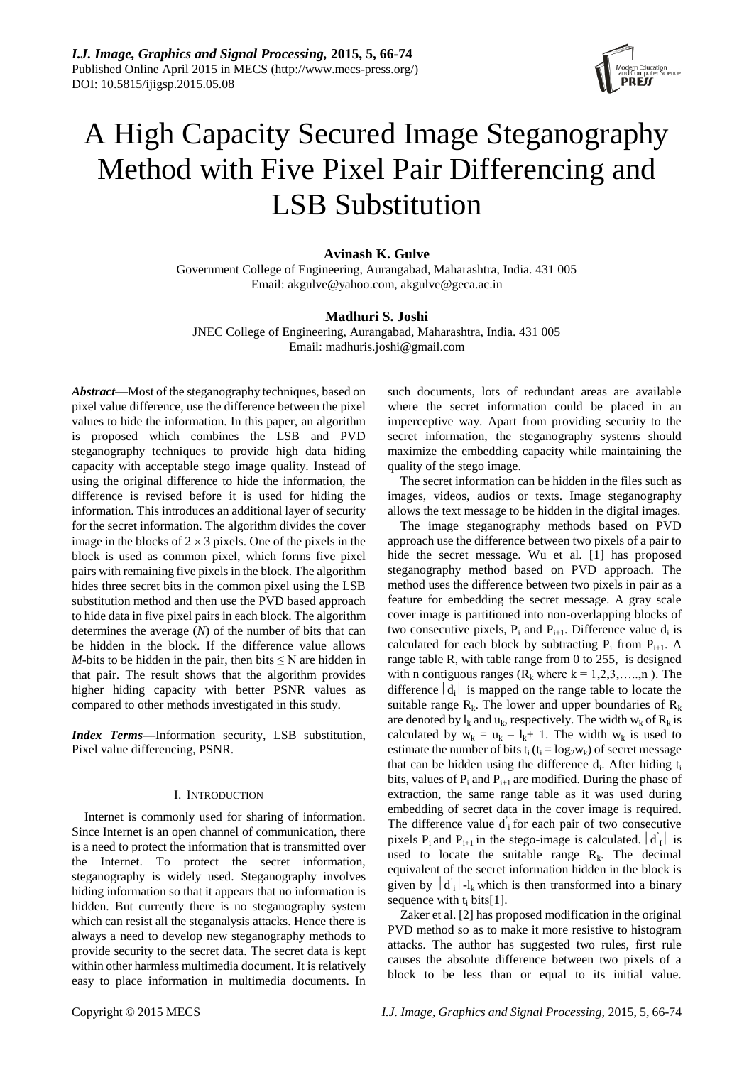*I.J. Image, Graphics and Signal Processing,* **2015, 5, 66-74** Published Online April 2015 in MECS (http://www.mecs-press.org/) DOI: 10.5815/ijigsp.2015.05.08



# A High Capacity Secured Image Steganography Method with Five Pixel Pair Differencing and LSB Substitution

# **Avinash K. Gulve**

Government College of Engineering, Aurangabad, Maharashtra, India. 431 005 Email: akgulve@yahoo.com, akgulve@geca.ac.in

# **Madhuri S. Joshi**

JNEC College of Engineering, Aurangabad, Maharashtra, India. 431 005 Email: madhuris.joshi@gmail.com

*Abstract—*Most of the steganography techniques, based on pixel value difference, use the difference between the pixel values to hide the information. In this paper, an algorithm is proposed which combines the LSB and PVD steganography techniques to provide high data hiding capacity with acceptable stego image quality. Instead of using the original difference to hide the information, the difference is revised before it is used for hiding the information. This introduces an additional layer of security for the secret information. The algorithm divides the cover image in the blocks of  $2 \times 3$  pixels. One of the pixels in the block is used as common pixel, which forms five pixel pairs with remaining five pixels in the block. The algorithm hides three secret bits in the common pixel using the LSB substitution method and then use the PVD based approach to hide data in five pixel pairs in each block. The algorithm determines the average (*N*) of the number of bits that can be hidden in the block. If the difference value allows *M*-bits to be hidden in the pair, then bits  $\leq N$  are hidden in that pair. The result shows that the algorithm provides higher hiding capacity with better PSNR values as compared to other methods investigated in this study.

*Index Terms—*Information security, LSB substitution, Pixel value differencing, PSNR.

### I. INTRODUCTION

Internet is commonly used for sharing of information. Since Internet is an open channel of communication, there is a need to protect the information that is transmitted over the Internet. To protect the secret information, steganography is widely used. Steganography involves hiding information so that it appears that no information is hidden. But currently there is no steganography system which can resist all the steganalysis attacks. Hence there is always a need to develop new steganography methods to provide security to the secret data. The secret data is kept within other harmless multimedia document. It is relatively easy to place information in multimedia documents. In

such documents, lots of redundant areas are available where the secret information could be placed in an imperceptive way. Apart from providing security to the secret information, the steganography systems should maximize the embedding capacity while maintaining the quality of the stego image.

The secret information can be hidden in the files such as images, videos, audios or texts. Image steganography allows the text message to be hidden in the digital images.

The image steganography methods based on PVD approach use the difference between two pixels of a pair to hide the secret message. Wu et al. [1] has proposed steganography method based on PVD approach. The method uses the difference between two pixels in pair as a feature for embedding the secret message. A gray scale cover image is partitioned into non-overlapping blocks of two consecutive pixels,  $P_i$  and  $P_{i+1}$ . Difference value  $d_i$  is calculated for each block by subtracting  $P_i$  from  $P_{i+1}$ . A range table R, with table range from 0 to 255, is designed with n contiguous ranges ( $R_k$  where  $k = 1, 2, 3, \ldots, n$ ). The difference  $|d_i|$  is mapped on the range table to locate the suitable range  $R_k$ . The lower and upper boundaries of  $R_k$ are denoted by  $l_k$  and  $u_k$ , respectively. The width  $w_k$  of  $R_k$  is calculated by  $w_k = u_k - l_k + 1$ . The width  $w_k$  is used to estimate the number of bits  $t_i$  ( $t_i = log_2w_k$ ) of secret message that can be hidden using the difference  $d_i$ . After hiding  $t_i$ bits, values of  $P_i$  and  $P_{i+1}$  are modified. During the phase of extraction, the same range table as it was used during embedding of secret data in the cover image is required. The difference value  $\overrightarrow{d}$  for each pair of two consecutive pixels  $P_i$  and  $P_{i+1}$  in the stego-image is calculated.  $\left| \vec{d}_I \right|$  is used to locate the suitable range  $R_k$ . The decimal equivalent of the secret information hidden in the block is given by  $\left| \vec{d}_i \right|$ -l<sub>k</sub> which is then transformed into a binary sequence with  $t_i$  bits[1].

Zaker et al. [2] has proposed modification in the original PVD method so as to make it more resistive to histogram attacks. The author has suggested two rules, first rule causes the absolute difference between two pixels of a block to be less than or equal to its initial value.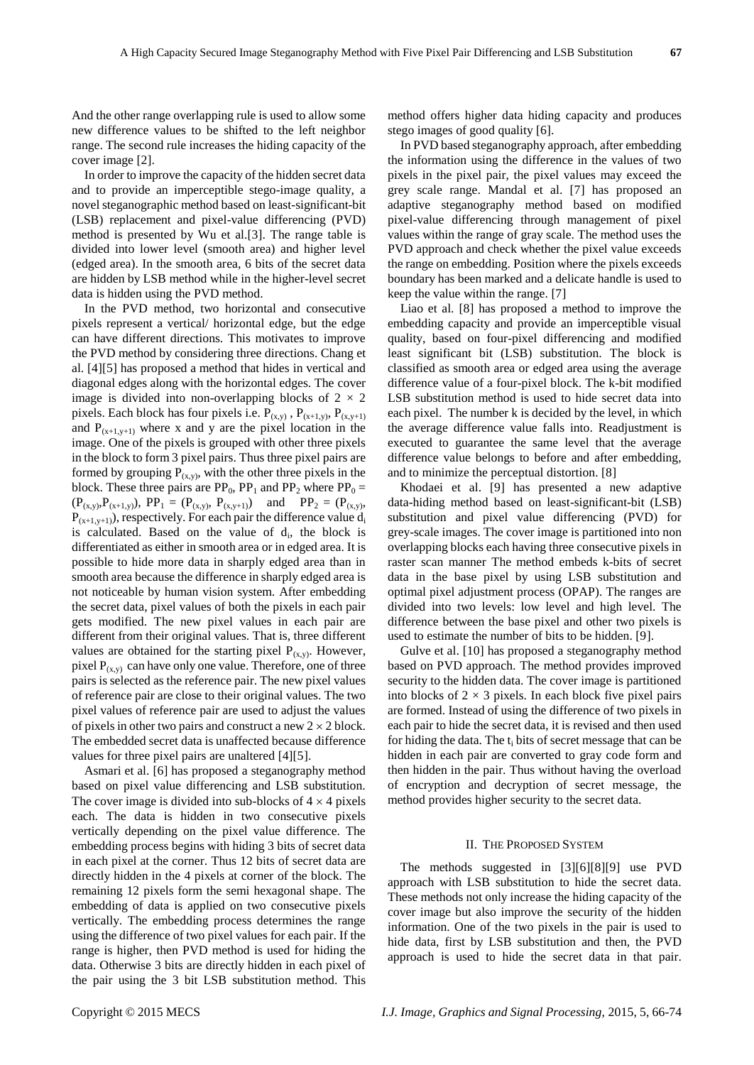And the other range overlapping rule is used to allow some new difference values to be shifted to the left neighbor range. The second rule increases the hiding capacity of the cover image [2].

In order to improve the capacity of the hidden secret data and to provide an imperceptible stego-image quality, a novel steganographic method based on least-significant-bit (LSB) replacement and pixel-value differencing (PVD) method is presented by Wu et al.[3]. The range table is divided into lower level (smooth area) and higher level (edged area). In the smooth area, 6 bits of the secret data are hidden by LSB method while in the higher-level secret data is hidden using the PVD method.

In the PVD method, two horizontal and consecutive pixels represent a vertical/ horizontal edge, but the edge can have different directions. This motivates to improve the PVD method by considering three directions. Chang et al. [4][5] has proposed a method that hides in vertical and diagonal edges along with the horizontal edges. The cover image is divided into non-overlapping blocks of  $2 \times 2$ pixels. Each block has four pixels i.e.  $P_{(x,y)}$ ,  $P_{(x+1,y)}$ ,  $P_{(x,y+1)}$ and  $P_{(x+1,y+1)}$  where x and y are the pixel location in the image. One of the pixels is grouped with other three pixels in the block to form 3 pixel pairs. Thus three pixel pairs are formed by grouping  $P_{(x,y)}$ , with the other three pixels in the block. These three pairs are  $PP_0$ ,  $PP_1$  and  $PP_2$  where  $PP_0 =$  $(P_{(x,y)},P_{(x+1,y)}), PP_1 = (P_{(x,y)}, P_{(x,y+1)})$  and  $PP_2 = (P_{(x,y)}, P_{(x,y)})$  $P_{(x+1,y+1)}$ , respectively. For each pair the difference value  $d_i$ is calculated. Based on the value of  $d_i$ , the block is differentiated as either in smooth area or in edged area. It is possible to hide more data in sharply edged area than in smooth area because the difference in sharply edged area is not noticeable by human vision system. After embedding the secret data, pixel values of both the pixels in each pair gets modified. The new pixel values in each pair are different from their original values. That is, three different values are obtained for the starting pixel  $P_{(x,y)}$ . However, pixel  $P_{(x,y)}$  can have only one value. Therefore, one of three pairs is selected as the reference pair. The new pixel values of reference pair are close to their original values. The two pixel values of reference pair are used to adjust the values of pixels in other two pairs and construct a new  $2 \times 2$  block. The embedded secret data is unaffected because difference values for three pixel pairs are unaltered [4][5].

Asmari et al. [6] has proposed a steganography method based on pixel value differencing and LSB substitution. The cover image is divided into sub-blocks of  $4 \times 4$  pixels each. The data is hidden in two consecutive pixels vertically depending on the pixel value difference. The embedding process begins with hiding 3 bits of secret data in each pixel at the corner. Thus 12 bits of secret data are directly hidden in the 4 pixels at corner of the block. The remaining 12 pixels form the semi hexagonal shape. The embedding of data is applied on two consecutive pixels vertically. The embedding process determines the range using the difference of two pixel values for each pair. If the range is higher, then PVD method is used for hiding the data. Otherwise 3 bits are directly hidden in each pixel of the pair using the 3 bit LSB substitution method. This method offers higher data hiding capacity and produces stego images of good quality [6].

In PVD based steganography approach, after embedding the information using the difference in the values of two pixels in the pixel pair, the pixel values may exceed the grey scale range. Mandal et al. [7] has proposed an adaptive steganography method based on modified pixel-value differencing through management of pixel values within the range of gray scale. The method uses the PVD approach and check whether the pixel value exceeds the range on embedding. Position where the pixels exceeds boundary has been marked and a delicate handle is used to keep the value within the range. [7]

Liao et al. [8] has proposed a method to improve the embedding capacity and provide an imperceptible visual quality, based on four-pixel differencing and modified least significant bit (LSB) substitution. The block is classified as smooth area or edged area using the average difference value of a four-pixel block. The k-bit modified LSB substitution method is used to hide secret data into each pixel. The number k is decided by the level, in which the average difference value falls into. Readjustment is executed to guarantee the same level that the average difference value belongs to before and after embedding, and to minimize the perceptual distortion. [8]

Khodaei et al. [9] has presented a new adaptive data-hiding method based on least-significant-bit (LSB) substitution and pixel value differencing (PVD) for grey-scale images. The cover image is partitioned into non overlapping blocks each having three consecutive pixels in raster scan manner The method embeds k-bits of secret data in the base pixel by using LSB substitution and optimal pixel adjustment process (OPAP). The ranges are divided into two levels: low level and high level. The difference between the base pixel and other two pixels is used to estimate the number of bits to be hidden. [9].

Gulve et al. [10] has proposed a steganography method based on PVD approach. The method provides improved security to the hidden data. The cover image is partitioned into blocks of  $2 \times 3$  pixels. In each block five pixel pairs are formed. Instead of using the difference of two pixels in each pair to hide the secret data, it is revised and then used for hiding the data. The  $t_i$  bits of secret message that can be hidden in each pair are converted to gray code form and then hidden in the pair. Thus without having the overload of encryption and decryption of secret message, the method provides higher security to the secret data.

#### II. THE PROPOSED SYSTEM

The methods suggested in [3][6][8][9] use PVD approach with LSB substitution to hide the secret data. These methods not only increase the hiding capacity of the cover image but also improve the security of the hidden information. One of the two pixels in the pair is used to hide data, first by LSB substitution and then, the PVD approach is used to hide the secret data in that pair.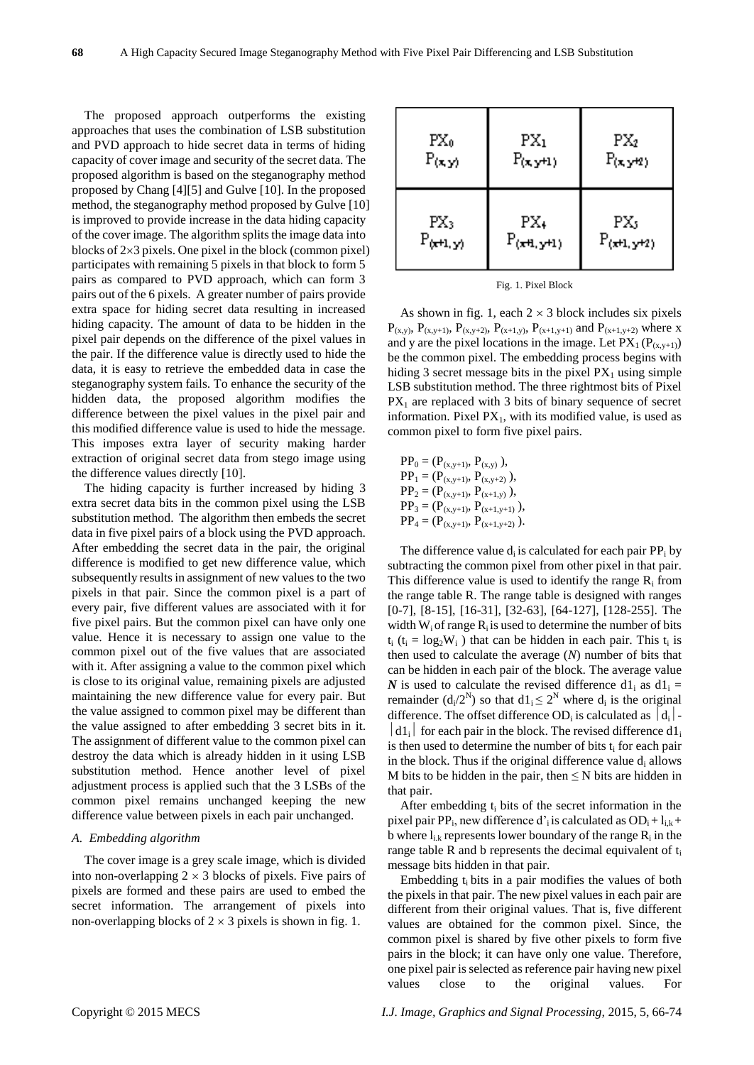The proposed approach outperforms the existing approaches that uses the combination of LSB substitution and PVD approach to hide secret data in terms of hiding capacity of cover image and security of the secret data. The proposed algorithm is based on the steganography method proposed by Chang [4][5] and Gulve [10]. In the proposed method, the steganography method proposed by Gulve [10] is improved to provide increase in the data hiding capacity of the cover image. The algorithm splits the image data into blocks of  $2\times3$  pixels. One pixel in the block (common pixel) participates with remaining 5 pixels in that block to form 5 pairs as compared to PVD approach, which can form 3 pairs out of the 6 pixels. A greater number of pairs provide extra space for hiding secret data resulting in increased hiding capacity. The amount of data to be hidden in the pixel pair depends on the difference of the pixel values in the pair. If the difference value is directly used to hide the data, it is easy to retrieve the embedded data in case the steganography system fails. To enhance the security of the hidden data, the proposed algorithm modifies the difference between the pixel values in the pixel pair and this modified difference value is used to hide the message. This imposes extra layer of security making harder extraction of original secret data from stego image using the difference values directly [10].

The hiding capacity is further increased by hiding 3 extra secret data bits in the common pixel using the LSB substitution method. The algorithm then embeds the secret data in five pixel pairs of a block using the PVD approach. After embedding the secret data in the pair, the original difference is modified to get new difference value, which subsequently results in assignment of new values to the two pixels in that pair. Since the common pixel is a part of every pair, five different values are associated with it for five pixel pairs. But the common pixel can have only one value. Hence it is necessary to assign one value to the common pixel out of the five values that are associated with it. After assigning a value to the common pixel which is close to its original value, remaining pixels are adjusted maintaining the new difference value for every pair. But the value assigned to common pixel may be different than the value assigned to after embedding 3 secret bits in it. The assignment of different value to the common pixel can destroy the data which is already hidden in it using LSB substitution method. Hence another level of pixel adjustment process is applied such that the 3 LSBs of the common pixel remains unchanged keeping the new difference value between pixels in each pair unchanged.

## *A. Embedding algorithm*

The cover image is a grey scale image, which is divided into non-overlapping  $2 \times 3$  blocks of pixels. Five pairs of pixels are formed and these pairs are used to embed the secret information. The arrangement of pixels into non-overlapping blocks of  $2 \times 3$  pixels is shown in fig. 1.

| $PX_0$          | $PX_1$          | $PX_2$          |  |  |
|-----------------|-----------------|-----------------|--|--|
| P(x, y)         | $P(x, y+1)$     | $P(x, y+2)$     |  |  |
| PX <sub>3</sub> | PX <sub>+</sub> | PX5             |  |  |
| $P_{(x+1,y)}$   | $P_{(x+1,y+1)}$ | $P_{(x+1,y+2)}$ |  |  |

Fig. 1. Pixel Block

As shown in fig. 1, each  $2 \times 3$  block includes six pixels  $P_{(x,y)}$ ,  $P_{(x,y+1)}$ ,  $P_{(x,y+2)}$ ,  $P_{(x+1,y)}$ ,  $P_{(x+1,y+1)}$  and  $P_{(x+1,y+2)}$  where x and y are the pixel locations in the image. Let  $PX_1(P_{(x,y+1)})$ be the common pixel. The embedding process begins with hiding 3 secret message bits in the pixel  $PX_1$  using simple LSB substitution method. The three rightmost bits of Pixel  $PX<sub>1</sub>$  are replaced with 3 bits of binary sequence of secret information. Pixel  $PX_1$ , with its modified value, is used as common pixel to form five pixel pairs.

 $PP_0 = (P_{(x,y+1)}, P_{(x,y)})$ ,  $PP_1 = (P_{(x,y+1)}, P_{(x,y+2)})$ ,  $PP_2 = (P_{(x,y+1)}, P_{(x+1,y)}),$  $PP_3 = (P_{(x,y+1)}, P_{(x+1,y+1)}),$  $PP_4 = (P_{(x,y+1)}, P_{(x+1,y+2)})$ .

The difference value  $d_i$  is calculated for each pair  $PP_i$  by subtracting the common pixel from other pixel in that pair. This difference value is used to identify the range  $R_i$  from the range table R. The range table is designed with ranges [0-7], [8-15], [16-31], [32-63], [64-127], [128-255]. The width  $W_i$  of range  $R_i$  is used to determine the number of bits  $t_i$  ( $t_i = log_2 W_i$ ) that can be hidden in each pair. This  $t_i$  is then used to calculate the average (*N*) number of bits that can be hidden in each pair of the block. The average value *N* is used to calculate the revised difference  $d1_i$  as  $d1_i =$ remainder  $(d_i/2^N)$  so that  $d1_i \leq 2^N$  where  $d_i$  is the original difference. The offset difference OD<sub>i</sub> is calculated as  $|d_i|$ .  $|d1_i|$  for each pair in the block. The revised difference d<sub>1</sub> is then used to determine the number of bits  $t_i$  for each pair in the block. Thus if the original difference value  $d_i$  allows M bits to be hidden in the pair, then  $\leq N$  bits are hidden in that pair.

After embedding  $t_i$  bits of the secret information in the pixel pair PP<sub>i</sub>, new difference d'<sub>i</sub> is calculated as  $OD_i + l_{i,k} +$ b where  $l_{i,k}$  represents lower boundary of the range  $R_i$  in the range table R and b represents the decimal equivalent of  $t_i$ message bits hidden in that pair.

Embedding  $t_i$  bits in a pair modifies the values of both the pixels in that pair. The new pixel values in each pair are different from their original values. That is, five different values are obtained for the common pixel. Since, the common pixel is shared by five other pixels to form five pairs in the block; it can have only one value. Therefore, one pixel pair is selected as reference pair having new pixel values close to the original values. For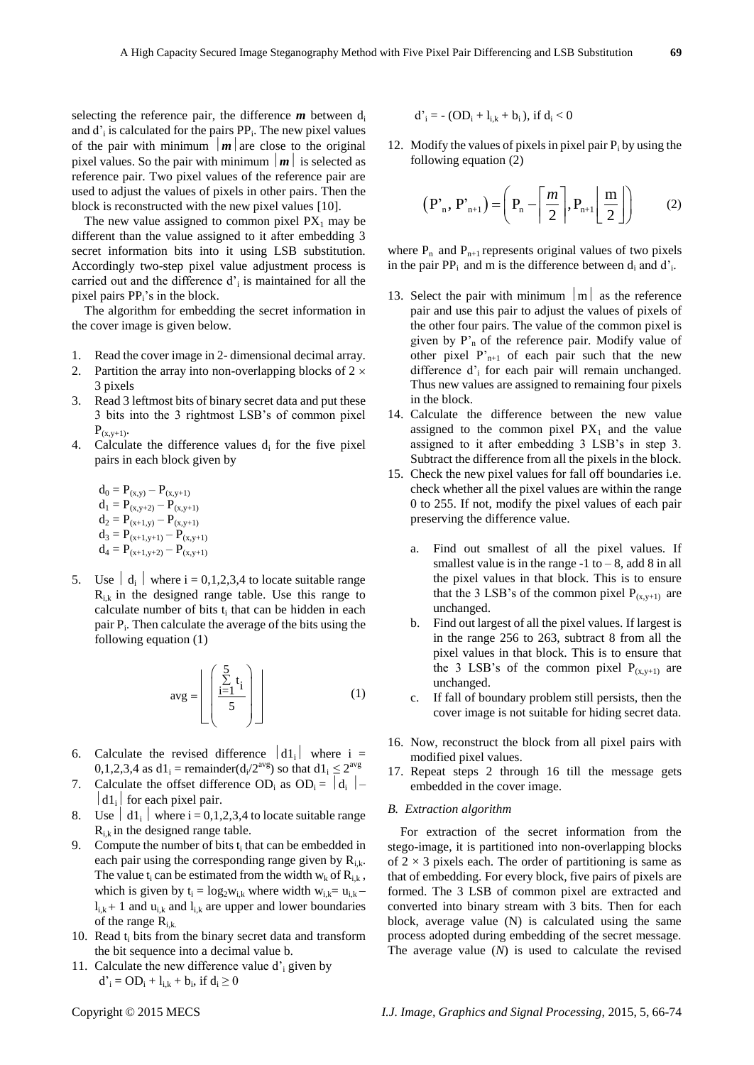selecting the reference pair, the difference  $m$  between  $d_i$ and  $d'$ <sub>i</sub> is calculated for the pairs  $PP_i$ . The new pixel values of the pair with minimum  $\vert m \vert$  are close to the original pixel values. So the pair with minimum  $|m|$  is selected as reference pair. Two pixel values of the reference pair are used to adjust the values of pixels in other pairs. Then the block is reconstructed with the new pixel values [10].

The new value assigned to common pixel  $PX_1$  may be different than the value assigned to it after embedding 3 secret information bits into it using LSB substitution. Accordingly two-step pixel value adjustment process is carried out and the difference  $d'$ <sub>i</sub> is maintained for all the pixel pairs PP<sub>i</sub>'s in the block.

The algorithm for embedding the secret information in the cover image is given below.

- 1. Read the cover image in 2- dimensional decimal array.
- 2. Partition the array into non-overlapping blocks of  $2 \times$ 3 pixels
- 3. Read 3 leftmost bits of binary secret data and put these 3 bits into the 3 rightmost LSB's of common pixel  $P_{(x,y+1)}$ .
- 4. Calculate the difference values  $d_i$  for the five pixel pairs in each block given by

$$
\begin{array}{l} d_0 = P_{(x,y)} - P_{(x,y+1)} \\ d_1 = P_{(x,y+2)} - P_{(x,y+1)} \\ d_2 = P_{(x+1,y)} - P_{(x,y+1)} \\ d_3 = P_{(x+1,y+1)} - P_{(x,y+1)} \\ d_4 = P_{(x+1,y+2)} - P_{(x,y+1)} \end{array}
$$

5. Use  $\begin{vmatrix} d_i \end{vmatrix}$  where  $i = 0,1,2,3,4$  to locate suitable range  $R_{ik}$  in the designed range table. Use this range to calculate number of bits  $t_i$  that can be hidden in each pair P<sub>i</sub>. Then calculate the average of the bits using the following equation (1)

$$
avg = \left[ \begin{array}{c} \frac{5}{\sum t_i} \\ \frac{i=1}{5} \end{array} \right] \tag{1}
$$

- 6. Calculate the revised difference  $|d1_i|$  where i = 0,1,2,3,4 as  $d1_i$  = remainder( $d_i/2^{avg}$ ) so that  $d1_i \leq 2^{avg}$
- 7. Calculate the offset difference OD<sub>i</sub> as  $OD_i = |d_i| |d1_i|$  for each pixel pair.
- 8. Use  $\begin{vmatrix} d1_i \end{vmatrix}$  where  $i = 0,1,2,3,4$  to locate suitable range  $R_{i,k}$  in the designed range table.
- 9. Compute the number of bits  $t_i$  that can be embedded in each pair using the corresponding range given by  $R_{i,k}$ . The value  $t_i$  can be estimated from the width  $w_k$  of  $R_{i,k}$ , which is given by  $t_i = log_2 w_{i,k}$  where width  $w_{i,k} = u_{i,k}$  $l_{i,k}$  + 1 and  $u_{i,k}$  and  $l_{i,k}$  are upper and lower boundaries of the range  $R_{i,k}$ .
- 10. Read  $t_i$  bits from the binary secret data and transform the bit sequence into a decimal value b.
- 11. Calculate the new difference value  $d^2$  given by  $d'_{i} = OD_{i} + l_{i,k} + b_{i}$ , if  $d_{i} \ge 0$

$$
d'_i = - (OD_i + l_{i,k} + b_i), \text{ if } d_i < 0
$$

12. Modify the values of pixels in pixel pair  $P_i$  by using the following equation (2)

$$
\left(\mathbf{P}_{n}^{\prime}, \mathbf{P}_{n+1}^{\prime}\right) = \left(\mathbf{P}_{n} - \left\lceil \frac{m}{2} \right\rceil, \mathbf{P}_{n+1} \left\lfloor \frac{m}{2} \right\rfloor\right) \tag{2}
$$

where  $P_n$  and  $P_{n+1}$  represents original values of two pixels in the pair  $PP_i$  and m is the difference between  $d_i$  and  $d'_i$ .

- 13. Select the pair with minimum  $|m|$  as the reference pair and use this pair to adjust the values of pixels of the other four pairs. The value of the common pixel is given by P'<sup>n</sup> of the reference pair. Modify value of other pixel  $P_{n+1}$  of each pair such that the new difference d'<sub>i</sub> for each pair will remain unchanged. Thus new values are assigned to remaining four pixels in the block.
- 14. Calculate the difference between the new value assigned to the common pixel  $PX_1$  and the value assigned to it after embedding 3 LSB's in step 3. Subtract the difference from all the pixels in the block.
- 15. Check the new pixel values for fall off boundaries i.e. check whether all the pixel values are within the range 0 to 255. If not, modify the pixel values of each pair preserving the difference value.
	- a. Find out smallest of all the pixel values. If smallest value is in the range  $-1$  to  $-8$ , add  $8$  in all the pixel values in that block. This is to ensure that the 3 LSB's of the common pixel  $P_{(x,y+1)}$  are unchanged.
	- b. Find out largest of all the pixel values. If largest is in the range 256 to 263, subtract 8 from all the pixel values in that block. This is to ensure that the 3 LSB's of the common pixel  $P_{(x,y+1)}$  are unchanged.
	- c. If fall of boundary problem still persists, then the cover image is not suitable for hiding secret data.
- 16. Now, reconstruct the block from all pixel pairs with modified pixel values.
- 17. Repeat steps 2 through 16 till the message gets embedded in the cover image.

# *B. Extraction algorithm*

For extraction of the secret information from the stego-image, it is partitioned into non-overlapping blocks of  $2 \times 3$  pixels each. The order of partitioning is same as that of embedding. For every block, five pairs of pixels are formed. The 3 LSB of common pixel are extracted and converted into binary stream with 3 bits. Then for each block, average value (N) is calculated using the same process adopted during embedding of the secret message. The average value (*N*) is used to calculate the revised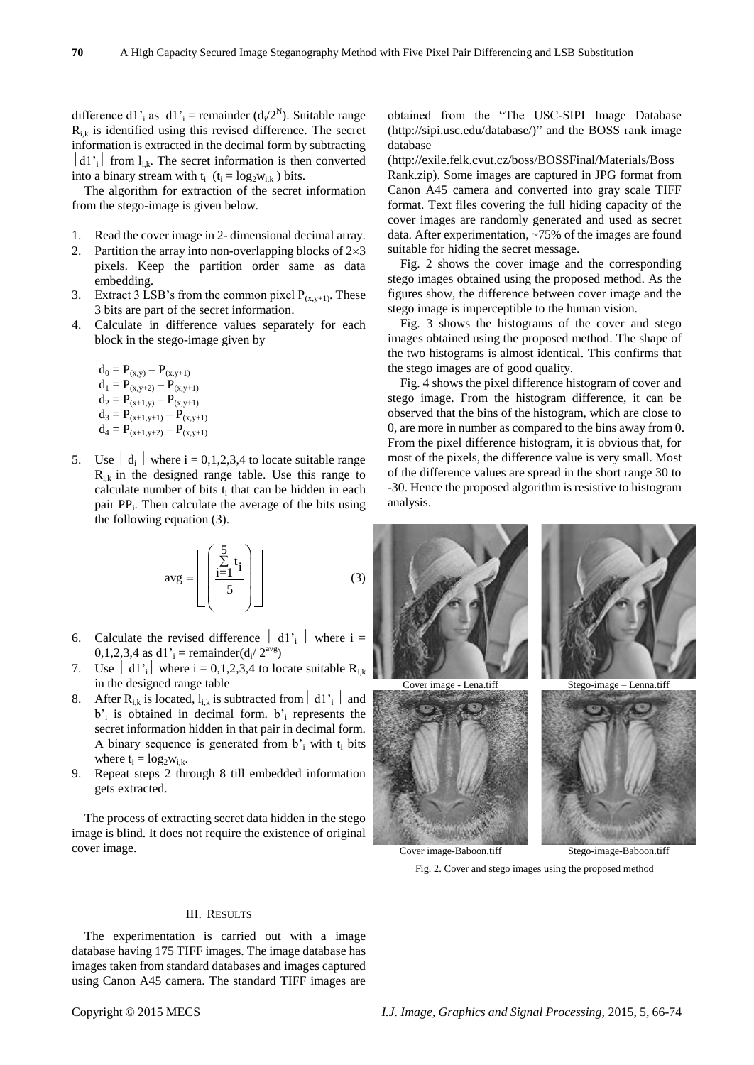difference d1'<sub>i</sub> as d1'<sub>i</sub> = remainder  $(d_i/2^N)$ . Suitable range  $R_{ik}$  is identified using this revised difference. The secret information is extracted in the decimal form by subtracting  $|d1\rangle$  from  $l_{i,k}$ . The secret information is then converted into a binary stream with  $t_i$  ( $t_i = log_2w_{ik}$ ) bits.

The algorithm for extraction of the secret information from the stego-image is given below.

- 1. Read the cover image in 2- dimensional decimal array.
- 2. Partition the array into non-overlapping blocks of  $2\times3$ pixels. Keep the partition order same as data embedding.
- 3. Extract 3 LSB's from the common pixel  $P_{(x,y+1)}$ . These 3 bits are part of the secret information.
- 4. Calculate in difference values separately for each block in the stego-image given by

$$
\begin{array}{l} d_0 = P_{(x,y)} - P_{(x,y+1)} \\ d_1 = P_{(x,y+2)} - P_{(x,y+1)} \\ d_2 = P_{(x+1,y)} - P_{(x,y+1)} \\ d_3 = P_{(x+1,y+1)} - P_{(x,y+1)} \\ d_4 = P_{(x+1,y+2)} - P_{(x,y+1)} \end{array}
$$

5. Use  $\begin{bmatrix} d_i \end{bmatrix}$  where  $i = 0,1,2,3,4$  to locate suitable range  $R_{ik}$  in the designed range table. Use this range to calculate number of bits  $t_i$  that can be hidden in each pair PP<sub>i</sub>. Then calculate the average of the bits using the following equation (3).

$$
avg = \left[ \left( \frac{\sum_{i=1}^{5} t_i}{5} \right) \right]
$$
 (3)

- 6. Calculate the revised difference  $\begin{vmatrix} d1' \\ d1 \end{vmatrix}$  where  $i =$ 0,1,2,3,4 as d1'<sub>i</sub> = remainder(d<sub>i</sub>/  $2^{avg}$ )
- 7. Use  $\begin{bmatrix} d1'_{i} \end{bmatrix}$  where  $i = 0,1,2,3,4$  to locate suitable  $R_{i,k}$ in the designed range table
- 8. After  $R_{i,k}$  is located,  $l_{i,k}$  is subtracted from  $\left| d_1 \right|$  and b'i is obtained in decimal form. b'<sup>i</sup> represents the secret information hidden in that pair in decimal form. A binary sequence is generated from  $b_i$  with  $t_i$  bits where  $t_i = log_2 w_{i,k}$ .
- 9. Repeat steps 2 through 8 till embedded information gets extracted.

The process of extracting secret data hidden in the stego image is blind. It does not require the existence of original cover image.

obtained from the "The USC-SIPI Image Database (http://sipi.usc.edu/database/)" and the BOSS rank image database

(http://exile.felk.cvut.cz/boss/BOSSFinal/Materials/Boss Rank.zip). Some images are captured in JPG format from Canon A45 camera and converted into gray scale TIFF format. Text files covering the full hiding capacity of the cover images are randomly generated and used as secret data. After experimentation, ~75% of the images are found suitable for hiding the secret message.

Fig. 2 shows the cover image and the corresponding stego images obtained using the proposed method. As the figures show, the difference between cover image and the stego image is imperceptible to the human vision.

Fig. 3 shows the histograms of the cover and stego images obtained using the proposed method. The shape of the two histograms is almost identical. This confirms that the stego images are of good quality.

Fig. 4 shows the pixel difference histogram of cover and stego image. From the histogram difference, it can be observed that the bins of the histogram, which are close to 0, are more in number as compared to the bins away from 0. From the pixel difference histogram, it is obvious that, for most of the pixels, the difference value is very small. Most of the difference values are spread in the short range 30 to -30. Hence the proposed algorithm is resistive to histogram analysis.



Fig. 2. Cover and stego images using the proposed method

#### III. RESULTS

The experimentation is carried out with a image database having 175 TIFF images. The image database has images taken from standard databases and images captured using Canon A45 camera. The standard TIFF images are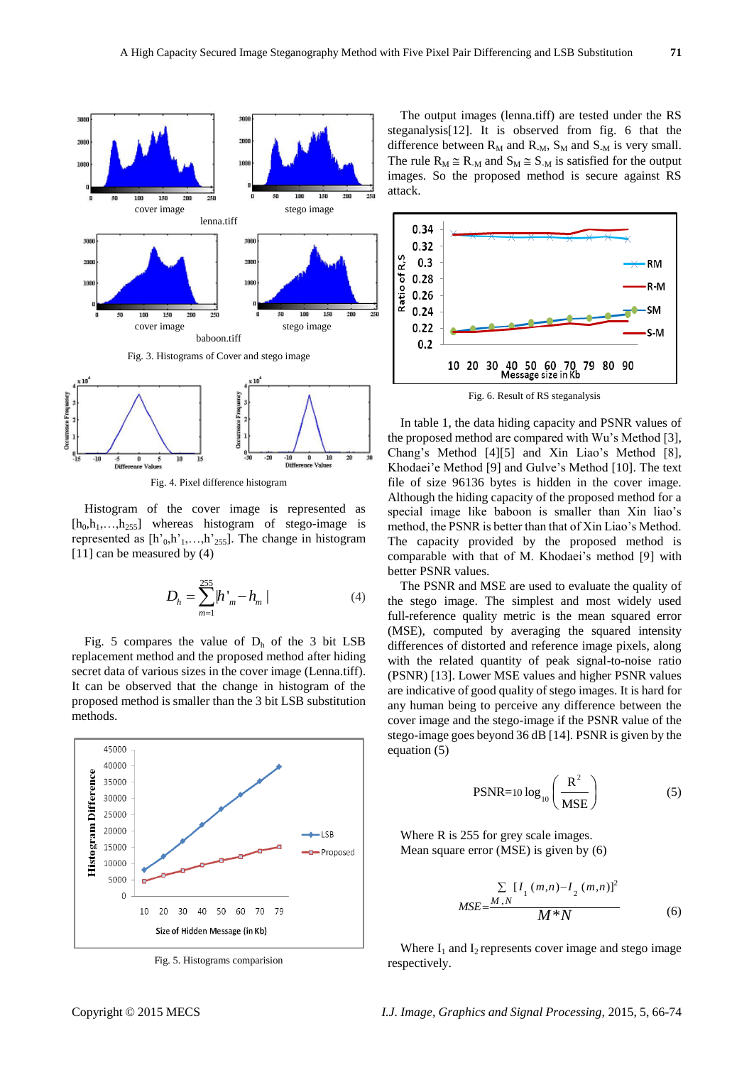



Fig. 4. Pixel difference histogram

Histogram of the cover image is represented as  $[h_0, h_1, \ldots, h_{255}]$  whereas histogram of stego-image is represented as  $[h<sub>0</sub>, h<sub>1</sub>, \ldots, h<sub>255</sub>]$ . The change in histogram [11] can be measured by (4)

$$
D_h = \sum_{m=1}^{255} h'_{m} - h_{m} \tag{4}
$$

Fig. 5 compares the value of  $D_h$  of the 3 bit LSB replacement method and the proposed method after hiding secret data of various sizes in the cover image (Lenna.tiff). It can be observed that the change in histogram of the proposed method is smaller than the 3 bit LSB substitution methods.



Fig. 5. Histograms comparision

The output images (lenna.tiff) are tested under the RS steganalysis[12]. It is observed from fig. 6 that the difference between  $R_M$  and  $R_M$ ,  $S_M$  and  $S_M$  is very small. The rule  $R_M \cong R_M$  and  $S_M \cong S_M$  is satisfied for the output images. So the proposed method is secure against RS attack.



In table 1, the data hiding capacity and PSNR values of the proposed method are compared with Wu's Method [3], Chang's Method [4][5] and Xin Liao's Method [8], Khodaei'e Method [9] and Gulve's Method [10]. The text file of size 96136 bytes is hidden in the cover image. Although the hiding capacity of the proposed method for a special image like baboon is smaller than Xin liao's method, the PSNR is better than that of Xin Liao's Method. The capacity provided by the proposed method is comparable with that of M. Khodaei's method [9] with better PSNR values.

The PSNR and MSE are used to evaluate the quality of the stego image. The simplest and most widely used full-reference quality metric is the mean squared error (MSE), computed by averaging the squared intensity differences of distorted and reference image pixels, along with the related quantity of peak signal-to-noise ratio (PSNR) [13]. Lower MSE values and higher PSNR values are indicative of good quality of stego images. It is hard for any human being to perceive any difference between the cover image and the stego-image if the PSNR value of the stego-image goes beyond 36 dB [14]. PSNR is given by the equation (5)

$$
PSNR = 10 \log_{10} \left( \frac{R^2}{MSE} \right) \tag{5}
$$

Where R is 255 for grey scale images. Mean square error (MSE) is given by (6)

$$
MSE = \frac{M_{N} N}{M N} \frac{\sum [I_{1} (m, n) - I_{2} (m, n)]^{2}}{M N N}
$$
 (6)

Where  $I_1$  and  $I_2$  represents cover image and stego image respectively.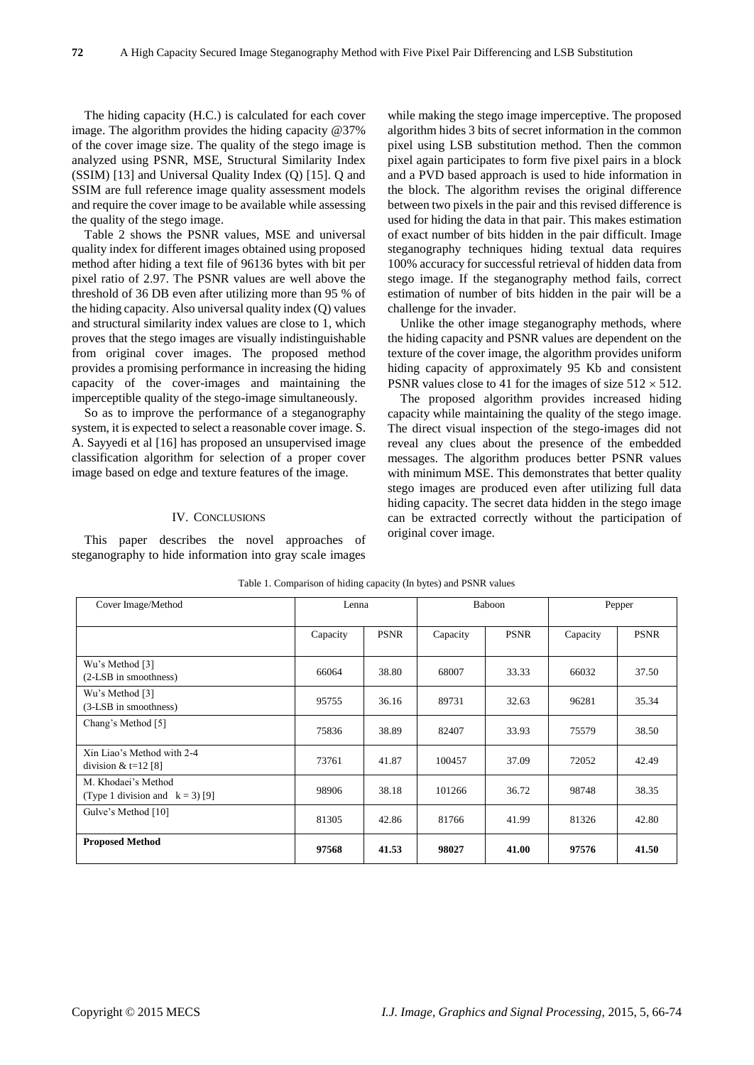The hiding capacity (H.C.) is calculated for each cover image. The algorithm provides the hiding capacity @37% of the cover image size. The quality of the stego image is analyzed using PSNR, MSE, Structural Similarity Index (SSIM) [13] and Universal Quality Index (Q) [15]. Q and SSIM are full reference image quality assessment models and require the cover image to be available while assessing the quality of the stego image.

Table 2 shows the PSNR values, MSE and universal quality index for different images obtained using proposed method after hiding a text file of 96136 bytes with bit per pixel ratio of 2.97. The PSNR values are well above the threshold of 36 DB even after utilizing more than 95 % of the hiding capacity. Also universal quality index (Q) values and structural similarity index values are close to 1, which proves that the stego images are visually indistinguishable from original cover images. The proposed method provides a promising performance in increasing the hiding capacity of the cover-images and maintaining the imperceptible quality of the stego-image simultaneously.

So as to improve the performance of a steganography system, it is expected to select a reasonable cover image. S. A. Sayyedi et al [16] has proposed an unsupervised image classification algorithm for selection of a proper cover image based on edge and texture features of the image.

### IV. CONCLUSIONS

This paper describes the novel approaches of steganography to hide information into gray scale images while making the stego image imperceptive. The proposed algorithm hides 3 bits of secret information in the common pixel using LSB substitution method. Then the common pixel again participates to form five pixel pairs in a block and a PVD based approach is used to hide information in the block. The algorithm revises the original difference between two pixels in the pair and this revised difference is used for hiding the data in that pair. This makes estimation of exact number of bits hidden in the pair difficult. Image steganography techniques hiding textual data requires 100% accuracy for successful retrieval of hidden data from stego image. If the steganography method fails, correct estimation of number of bits hidden in the pair will be a challenge for the invader.

Unlike the other image steganography methods, where the hiding capacity and PSNR values are dependent on the texture of the cover image, the algorithm provides uniform hiding capacity of approximately 95 Kb and consistent PSNR values close to 41 for the images of size  $512 \times 512$ .

The proposed algorithm provides increased hiding capacity while maintaining the quality of the stego image. The direct visual inspection of the stego-images did not reveal any clues about the presence of the embedded messages. The algorithm produces better PSNR values with minimum MSE. This demonstrates that better quality stego images are produced even after utilizing full data hiding capacity. The secret data hidden in the stego image can be extracted correctly without the participation of original cover image.

| Cover Image/Method                                        |          | Lenna       |          | <b>Baboon</b> |          | Pepper      |  |
|-----------------------------------------------------------|----------|-------------|----------|---------------|----------|-------------|--|
|                                                           | Capacity | <b>PSNR</b> | Capacity | <b>PSNR</b>   | Capacity | <b>PSNR</b> |  |
| Wu's Method [3]<br>(2-LSB in smoothness)                  | 66064    | 38.80       | 68007    | 33.33         | 66032    | 37.50       |  |
| Wu's Method [3]<br>(3-LSB in smoothness)                  | 95755    | 36.16       | 89731    | 32.63         | 96281    | 35.34       |  |
| Chang's Method [5]                                        | 75836    | 38.89       | 82407    | 33.93         | 75579    | 38.50       |  |
| Xin Liao's Method with 2-4<br>division & $t=12$ [8]       | 73761    | 41.87       | 100457   | 37.09         | 72052    | 42.49       |  |
| M. Khodaei's Method<br>(Type 1 division and $k = 3$ ) [9] | 98906    | 38.18       | 101266   | 36.72         | 98748    | 38.35       |  |
| Gulve's Method [10]                                       | 81305    | 42.86       | 81766    | 41.99         | 81326    | 42.80       |  |
| <b>Proposed Method</b>                                    | 97568    | 41.53       | 98027    | 41.00         | 97576    | 41.50       |  |

Table 1. Comparison of hiding capacity (In bytes) and PSNR values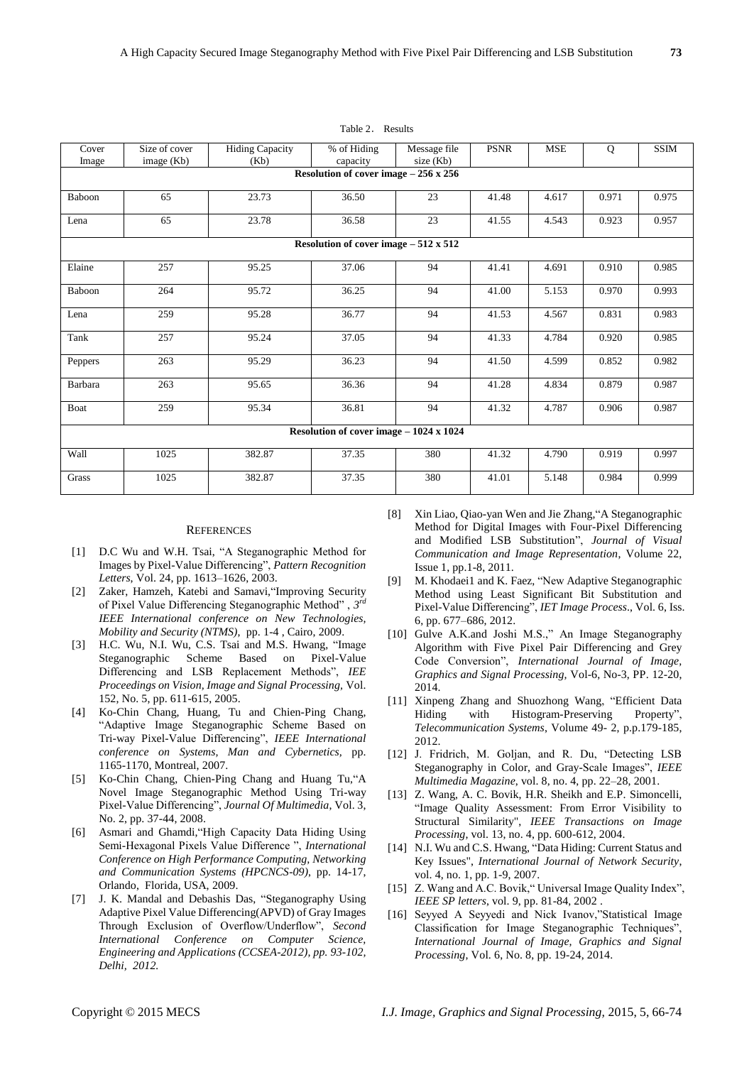| Cover<br>Image                              | Size of cover<br>image (Kb)                 | <b>Hiding Capacity</b><br>(Kb) | % of Hiding<br>capacity | Message file<br>size (Kb) | <b>PSNR</b> | <b>MSE</b> | Q     | <b>SSIM</b> |  |  |
|---------------------------------------------|---------------------------------------------|--------------------------------|-------------------------|---------------------------|-------------|------------|-------|-------------|--|--|
| Resolution of cover image $-256 \times 256$ |                                             |                                |                         |                           |             |            |       |             |  |  |
| Baboon                                      | 65                                          | 23.73                          | 36.50                   | 23                        | 41.48       | 4.617      | 0.971 | 0.975       |  |  |
| Lena                                        | 65                                          | 23.78                          | 36.58                   | 23                        | 41.55       | 4.543      | 0.923 | 0.957       |  |  |
|                                             | Resolution of cover image $-512 \times 512$ |                                |                         |                           |             |            |       |             |  |  |
| Elaine                                      | 257                                         | 95.25                          | 37.06                   | 94                        | 41.41       | 4.691      | 0.910 | 0.985       |  |  |
| Baboon                                      | 264                                         | 95.72                          | 36.25                   | 94                        | 41.00       | 5.153      | 0.970 | 0.993       |  |  |
| Lena                                        | 259                                         | 95.28                          | 36.77                   | 94                        | 41.53       | 4.567      | 0.831 | 0.983       |  |  |
| Tank                                        | 257                                         | 95.24                          | 37.05                   | 94                        | 41.33       | 4.784      | 0.920 | 0.985       |  |  |
| Peppers                                     | 263                                         | 95.29                          | 36.23                   | 94                        | 41.50       | 4.599      | 0.852 | 0.982       |  |  |
| Barbara                                     | 263                                         | 95.65                          | 36.36                   | 94                        | 41.28       | 4.834      | 0.879 | 0.987       |  |  |
| Boat                                        | 259                                         | 95.34                          | 36.81                   | 94                        | 41.32       | 4.787      | 0.906 | 0.987       |  |  |
| Resolution of cover image - 1024 x 1024     |                                             |                                |                         |                           |             |            |       |             |  |  |
| Wall                                        | 1025                                        | 382.87                         | 37.35                   | 380                       | 41.32       | 4.790      | 0.919 | 0.997       |  |  |
| Grass                                       | 1025                                        | 382.87                         | 37.35                   | 380                       | 41.01       | 5.148      | 0.984 | 0.999       |  |  |

#### Table 2. Results

#### **REFERENCES**

- [1] D.C Wu and W.H. Tsai, "A Steganographic Method for Images by Pixel-Value Differencing", *Pattern Recognition Letters*, Vol. 24, pp. 1613–1626, 2003.
- [2] Zaker, Hamzeh, Katebi and Samavi,"Improving Security of Pixel Value Differencing Steganographic Method" , *3 rd IEEE International conference on New Technologies, Mobility and Security (NTMS)*, pp. 1-4 , Cairo, 2009.
- [3] H.C. Wu, N.I. Wu, C.S. Tsai and M.S. Hwang, "Image Steganographic Scheme Based on Pixel-Value Differencing and LSB Replacement Methods", *IEE Proceedings on Vision, Image and Signal Processing,* Vol. 152, No. 5, pp. 611-615, 2005.
- [4] Ko-Chin Chang, Huang, Tu and Chien-Ping Chang, "Adaptive Image Steganographic Scheme Based on Tri-way Pixel-Value Differencing", *IEEE International conference on Systems, Man and Cybernetics,* pp. 1165-1170, Montreal, 2007.
- [5] Ko-Chin Chang, Chien-Ping Chang and Huang Tu,"A Novel Image Steganographic Method Using Tri-way Pixel-Value Differencing", *Journal Of Multimedia*, Vol. 3, No. 2, pp. 37-44, 2008.
- [6] Asmari and Ghamdi,"High Capacity Data Hiding Using Semi-Hexagonal Pixels Value Difference ", *International Conference on High Performance Computing, Networking and Communication Systems (HPCNCS-09)*, pp. 14-17, Orlando, Florida, USA, 2009.
- [7] J. K. Mandal and Debashis Das, "Steganography Using Adaptive Pixel Value Differencing(APVD) of Gray Images Through Exclusion of Overflow/Underflow", *Second International Conference on Computer Science, Engineering and Applications (CCSEA-2012), pp. 93-102, Delhi, 2012.*
- [8] Xin Liao, Qiao-yan Wen and Jie Zhang,"A Steganographic Method for Digital Images with Four-Pixel Differencing and Modified LSB Substitution", *Journal of Visual Communication and Image Representation*, Volume 22, Issue 1, pp.1-8, 2011.
- [9] M. Khodaei1 and K. Faez, "New Adaptive Steganographic Method using Least Significant Bit Substitution and Pixel-Value Differencing", *IET Image Process*., Vol. 6, Iss. 6, pp. 677–686, 2012.
- [10] Gulve A.K.and Joshi M.S.," An Image Steganography Algorithm with Five Pixel Pair Differencing and Grey Code Conversion", *International Journal of Image, Graphics and Signal Processing,* Vol-6, No-3, PP. 12-20, 2014.
- [11] Xinpeng Zhang and Shuozhong Wang, "Efficient Data Hiding with Histogram-Preserving Property", *Telecommunication Systems*, Volume 49- 2, p.p.179-185, 2012.
- [12] J. Fridrich, M. Goljan, and R. Du, "Detecting LSB Steganography in Color, and Gray-Scale Images", *IEEE Multimedia Magazine*, vol. 8, no. 4, pp. 22–28, 2001.
- [13] Z. Wang, A. C. Bovik, H.R. Sheikh and E.P. Simoncelli, "Image Quality Assessment: From Error Visibility to Structural Similarity", *IEEE Transactions on Image Processing*, vol. 13, no. 4, pp. 600-612, 2004.
- [14] N.I. Wu and C.S. Hwang, "Data Hiding: Current Status and Key Issues", *International Journal of Network Security*, vol. 4, no. 1, pp. 1-9, 2007.
- [15] Z. Wang and A.C. Bovik, "Universal Image Quality Index", *IEEE SP letters*, vol. 9, pp. 81-84, 2002 .
- [16] Seyyed A Seyyedi and Nick Ivanov,"Statistical Image Classification for Image Steganographic Techniques", *International Journal of Image, Graphics and Signal Processing*, Vol. 6, No. 8, pp. 19-24, 2014.